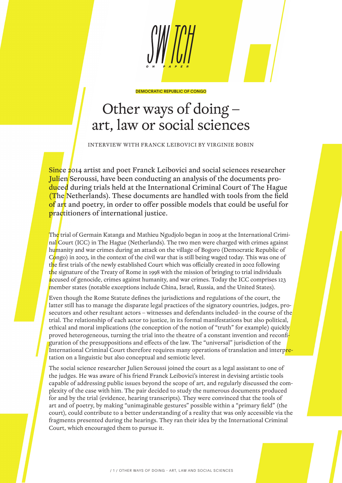

DEMOCRATIC REPUBLIC OF CONGO

## Other ways of doing – art, law or social sciences

INTERVIEW WITH FRANCK LEIBOVICI BY VIRGINIE BOBIN

Since 2014 artist and poet Franck Leibovici and social sciences researcher Julien Seroussi, have been conducting an analysis of the documents produced during trials held at the International Criminal Court of The Hague (The Netherlands). These documents are handled with tools from the field of art and poetry, in order to offer possible models that could be useful for practitioners of international justice.

The trial of Germain Katanga and Mathieu Ngudjolo began in 2009 at the International Criminal Court (ICC) in The Hague (Netherlands). The two men were charged with crimes against humanity and war crimes during an attack on the village of Bogoro (Democratic Republic of Congo) in 2003, in the context of the civil war that is still being waged today. This was one of the first trials of the newly established Court which was officially created in 2002 following the signature of the Treaty of Rome in 1998 with the mission of bringing to trial individuals accused of genocide, crimes against humanity, and war crimes. Today the ICC comprises 123 member states (notable exceptions include China, Israel, Russia, and the United States).

Even though the Rome Statute defines the jurisdictions and regulations of the court, the latter still has to manage the disparate legal practices of the signatory countries, judges, prosecutors and other resultant actors – witnesses and defendants included- in the course of the trial. The relationship of each actor to justice, in its formal manifestations but also political, ethical and moral implications (the conception of the notion of "truth" for example) quickly proved heterogeneous, turning the trial into the theatre of a constant invention and reconfiguration of the presuppositions and effects of the law. The "universal" jurisdiction of the International Criminal Court therefore requires many operations of translation and interpretation on a linguistic but also conceptual and semiotic level.

The social science researcher Julien Seroussi joined the court as a legal assistant to one of the judges. He was aware of his friend Franck Leibovici's interest in devising artistic tools capable of addressing public issues beyond the scope of art, and regularly discussed the complexity of the case with him. The pair decided to study the numerous documents produced for and by the trial (evidence, hearing transcripts). They were convinced that the tools of art and of poetry, by making "unimaginable gestures" possible within a "primary field" (the court), could contribute to a better understanding of a reality that was only accessible via the fragments presented during the hearings. They ran their idea by the International Criminal Court, which encouraged them to pursue it.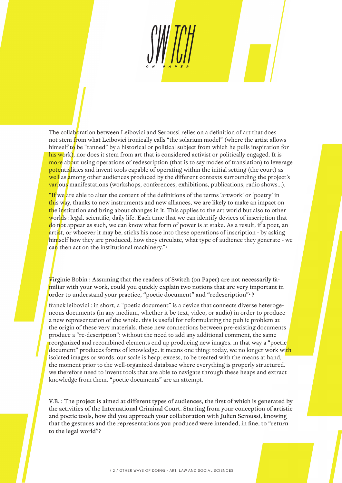The collaboration between Leibovici and Seroussi relies on a definition of art that does not stem from what Leibovici ironically calls "the solarium model" (where the artist allows himself to be "tanned" by a historical or political subject from which he pulls inspiration for his work), nor does it stem from art that is considered activist or politically engaged. It is more about using operations of redescription (that is to say modes of translation) to leverage potentialities and invent tools capable of operating within the initial setting (the court) as well as among other audiences produced by the different contexts surrounding the project's various manifestations (workshops, conferences, exhibitions, publications, radio shows…).

"If we are able to alter the content of the definitions of the terms 'artwork' or 'poetry' in this way, thanks to new instruments and new alliances, we are likely to make an impact on the institution and bring about changes in it. This applies to the art world but also to other worlds: legal, scientific, daily life. Each time that we can identify devices of inscription that do not appear as such, we can know what form of power is at stake. As a result, if a poet, an artist, or whoever it may be, sticks his nose into these operations of inscription - by asking himself how they are produced, how they circulate, what type of audience they generate - we can then act on the institutional machinery."<sup>1</sup>

Virginie Bobin : Assuming that the readers of Switch (on Paper) are not necessarily familiar with your work, could you quickly explain two notions that are very important in order to understand your practice, "poetic document" and "redescription"2 ?

franck leibovici : in short, a "poetic document" is a device that connects diverse heterogeneous documents (in any medium, whether it be text, video, or audio) in order to produce a new representation of the whole. this is useful for reformulating the public problem at the origin of these very materials. these new connections between pre-existing documents produce a "re-description": without the need to add any additional comment, the same reorganized and recombined elements end up producing new images. in that way a "poetic document" produces forms of knowledge. it means one thing: today, we no longer work with isolated images or words. our scale is heap; excess, to be treated with the means at hand, the moment prior to the well-organized database where everything is properly structured. we therefore need to invent tools that are able to navigate through these heaps and extract knowledge from them. "poetic documents" are an attempt.

V.B. : The project is aimed at different types of audiences, the first of which is generated by the activities of the International Criminal Court. Starting from your conception of artistic and poetic tools, how did you approach your collaboration with Julien Seroussi, knowing that the gestures and the representations you produced were intended, in fine, to "return to the legal world"?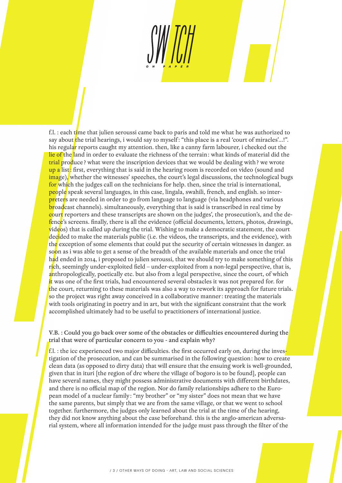f.l. : each time that julien seroussi came back to paris and told me what he was authorized to say about the trial hearings, i would say to myself: "this place is a real 'court of miracles'...!". his regular reports caught my attention. then, like a canny farm labourer, i checked out the lie of the land in order to evaluate the richness of the terrain: what kinds of material did the trial produce? what were the inscription devices that we would be dealing with? we wrote up a list: first, everything that is said in the hearing room is recorded on video (sound and image), whether the witnesses' speeches, the court's legal discussions, the technological bugs for which the judges call on the technicians for help. then, since the trial is international, people speak several languages, in this case, lingala, swahili, french, and english. so interpreters are needed in order to go from language to language (via headphones and various broadcast channels). simultaneously, everything that is said is transcribed in real time by court reporters and these transcripts are shown on the judges', the prosecution's, and the defence's screens. finally, there is all the evidence (official documents, letters, photos, drawings, videos) that is called up during the trial. Wishing to make a democratic statement, the court decided to make the materials public (i.e. the videos, the transcripts, and the evidence), with the exception of some elements that could put the security of certain witnesses in danger. as soon as i was able to get a sense of the breadth of the available materials and once the trial had ended in 2014, i proposed to julien seroussi, that we should try to make something of this rich, seemingly under-exploited field – under-exploited from a non-legal perspective, that is, anthropologically, poetically etc. but also from a legal perspective, since the court, of which it was one of the first trials, had encountered several obstacles it was not prepared for. for the court, returning to these materials was also a way to rework its approach for future trials. so the project was right away conceived in a collaborative manner : treating the materials

with tools originating in poetry and in art, but with the significant constraint that the work accomplished ultimately had to be useful to practitioners of international justice.

V.B. : Could you go back over some of the obstacles or difficulties encountered during the trial that were of particular concern to you - and explain why?

f.l. : the icc experienced two major difficulties. the first occurred early on, during the investigation of the prosecution, and can be summarised in the following question: how to create clean data (as opposed to dirty data) that will ensure that the ensuing work is well-grounded, given that in ituri [the region of drc where the village of bogoro is to be found], people can have several names, they might possess administrative documents with different birthdates, and there is no official map of the region. Nor do family relationships adhere to the European model of a nuclear family: "my brother" or "my sister" does not mean that we have the same parents, but simply that we are from the same village, or that we went to school together. furthermore, the judges only learned about the trial at the time of the hearing, they did not know anything about the case beforehand. this is the anglo-american adversarial system, where all information intended for the judge must pass through the filter of the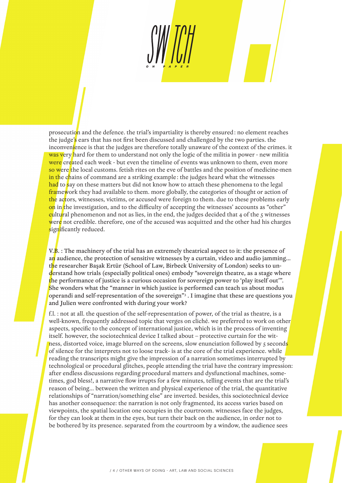prosecution and the defence. the trial's impartiality is thereby ensured: no element reaches the judge's ears that has not first been discussed and challenged by the two parties. the inconvenience is that the judges are therefore totally unaware of the context of the crimes. it was very hard for them to understand not only the logic of the militia in power - new militia were created each week - but even the timeline of events was unknown to them, even more so were the local customs. fetish rites on the eve of battles and the position of medicine-men in the chains of command are a striking example: the judges heard what the witnesses had to say on these matters but did not know how to attach these phenomena to the legal framework they had available to them. more globally, the categories of thought or action of the actors, witnesses, victims, or accused were foreign to them. due to these problems early on in the investigation, and to the difficulty of accepting the witnesses' accounts as "other" cultural phenomenon and not as lies, in the end, the judges decided that 4 of the 5 witnesses were not credible. therefore, one of the accused was acquitted and the other had his charges significantly reduced.

V. $\overline{B}$ . : The machinery of the trial has an extremely theatrical aspect to it: the presence of an audience, the protection of sensitive witnesses by a curtain, video and audio jamming... the researcher Başak Ertür (School of Law, Birbeck University of London) seeks to understand how trials (especially political ones) embody "sovereign theatre, as a stage where the performance of justice is a curious occasion for sovereign power to 'play itself out'". She wonders what the "manner in which justice is performed can teach us about modus operandi and self-representation of the sovereign"3 . I imagine that these are questions you and Julien were confronted with during your work?

f.l. : not at all. the question of the self-representation of power, of the trial as theatre, is a well-known, frequently addressed topic that verges on cliché. we preferred to work on other aspects, specific to the concept of international justice, which is in the process of inventing itself. however, the sociotechnical device I talked about – protective curtain for the witness, distorted voice, image blurred on the screens, slow enunciation followed by 5 seconds of silence for the interprets not to loose track- is at the core of the trial experience. while reading the transcripts might give the impression of a narration sometimes interrupted by technological or procedural glitches, people attending the trial have the contrary impression: after endless discussions regarding procedural matters and dysfunctional machines, sometimes, god bless!, a narrative flow irrupts for a few minutes, telling events that are the trial's reason of being… between the written and physical experience of the trial, the quantitative relationships of "narration/something else" are inverted. besides, this sociotechnical device has another consequence: the narration is not only fragmented, its access varies based on viewpoints, the spatial location one occupies in the courtroom. witnesses face the judges, for they can look at them in the eyes, but turn their back on the audience, in order not to be bothered by its presence. separated from the courtroom by a window, the audience sees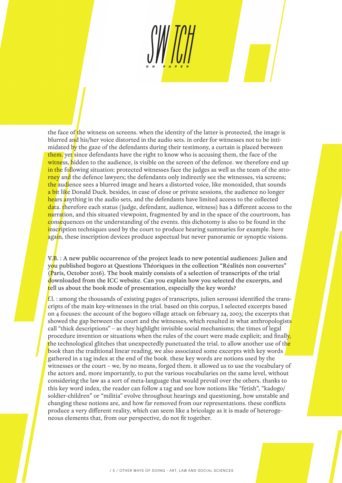the face of the witness on screens. when the identity of the latter is protected, the image is blurred and his/her voice distorted in the audio sets. in order for witnesses not to be intimidated by the gaze of the defendants during their testimony, a curtain is placed between them. yet since defendants have the right to know who is accusing them, the face of the witness, hidden to the audience, is visible on the screen of the defence. we therefore end up in the following situation: protected witnesses face the judges as well as the team of the attorney and the defence lawyers; the defendants only indirectly see the witnesses, via screens; the audience sees a blurred image and hears a distorted voice, like monoxided, that sounds a bit like Donald Duck. besides, in case of close or private sessions, the audience no longer hears anything in the audio sets, and the defendants have limited access to the collected data. therefore each status (judge, defendant, audience, witness) has a different access to the narration, and this situated viewpoint, fragmented by and in the space of the courtroom, has consequences on the understanding of the events. this dichotomy is also to be found in the inscription techniques used by the court to produce hearing summaries for example. here again, these inscription devices produce aspectual but never panoramic or synoptic visions.

 $V.E. : A new public occurrence of the project leads to new potential audiences: Julien and$ you published bogoro at Questions Théoriques in the collection "Réalités non couvertes" (Paris, October 2016). The book mainly consists of a selection of transcripts of the trial downloaded from the ICC website. Can you explain how you selected the excerpts, and tell us about the book mode of presentation, especially the key words?

 $f.l.$ : among the thousands of existing pages of transcripts, julien seroussi identified the transcripts of the main key-witnesses in the trial. based on this corpus, I selected excerpts based on 4 focuses: the account of the bogoro village attack on february 24, 2003; the excerpts that showed the gap between the court and the witnesses, which resulted in what anthropologists call "thick descriptions" – as they highlight invisible social mechanisms; the times of legal procedure invention or situations when the rules of the court were made explicit; and finally, the technological glitches that unexpectedly punctuated the trial. to allow another use of the book than the traditional linear reading, we also associated some excerpts with key words gathered in a tag index at the end of the book. these key words are notions used by the witnesses or the court – we, by no means, forged them. it allowed us to use the vocabulary of the actors and, more importantly, to put the various vocabularies on the same level, without considering the law as a sort of meta-language that would prevail over the others. thanks to this key word index, the reader can follow a tag and see how notions like "fetish", "kadogo/ soldier-children" or "militia" evolve throughout hearings and questioning, how unstable and changing these notions are, and how far removed from our representations. these conflicts produce a very different reality, which can seem like a bricolage as it is made of heterogeneous elements that, from our perspective, do not fit together.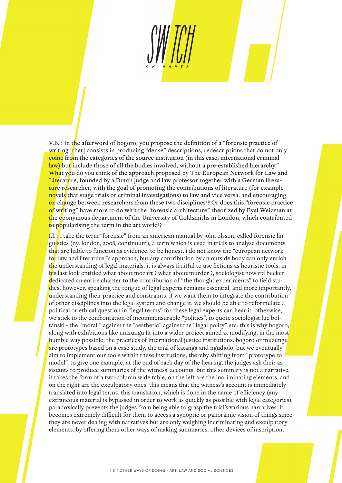V.B. : In the afterword of bogoro, you propose the definition of a "forensic practice of writing [that] consists in producing "dense" descriptions, redescriptions that do not only come from the categories of the source institution (in this case, international criminal law) but include those of all the bodies involved, without a pre-established hierarchy." What you do you think of the approach proposed by The European Network for Law and Literature, founded by a Dutch judge and law professor together with a German literature researcher, with the goal of promoting the contributions of literature (for example novels that stage trials or criminal investigations) to law and vice versa, and encouraging ex-change between researchers from these two disciplines<sup>4</sup>? Or does this "forensic practice of writing" have more to do with the "forensic architecture" theorized by Eyal Weizman at the eponymous department of the University of Goldsmiths in London, which contributed to popularising the term in the art world<sup>5</sup>?

f.l.  $\cdot$  i take the term "forensic" from an american manual by john olsson, called forensic linguistics (ny, london, 2008, continuum), a term which is used in trials to analyse documents that are liable to function as evidence. to be honest, i do not know the "european network" for law and literature"'s approach, but any contribution by an outside body can only enrich the understanding of legal materials. it is always fruitful to use fictions as heuristic tools. in his last look entitled what about mozart ? what about murder ?, sociologist howard becker dedicated an entire chapter to the contribution of "the thought experiments" to field studies. however, speaking the tongue of legal experts remains essential, and more importantly, understanding their practice and constraints, if we want them to integrate the contribution of other disciplines into the legal system and change it. we should be able to reformulate a political or ethical question in "legal terms" for these legal experts can hear it. otherwise, we stick to the confrontation of incommensurable "polities", to quote sociologist luc boltanski - the "moral " against the "aesthetic" against the "legal polity" etc. this is why bogoro, along with exhibitions like muzungu fit into a wider project aimed at modifying, in the most humble way possible, the practices of international justice institutions. bogoro or muzungu are prototypes based on a case study, the trial of katanga and ngudjolo, but we eventually aim to implement our tools within these institutions, thereby shifting from "prototype to model". to give one example, at the end of each day of the hearing, the judges ask their assistants to produce summaries of the witness' accounts. but this summary is not a narrative, it takes the form of a two-column wide table, on the left are the incriminating elements, and on the right are the exculpatory ones. this means that the witness's account is immediately translated into legal terms. this translation, which is done in the name of efficiency (any extraneous material is bypassed in order to work as quickly as possible with legal categories), paradoxically prevents the judges from being able to grasp the trial's various narratives. it becomes extremely difficult for them to access a synoptic or panoramic vision of things since they are never dealing with narratives but are only weighing incriminating and exculpatory elements. by offering them other ways of making summaries, other devices of inscription,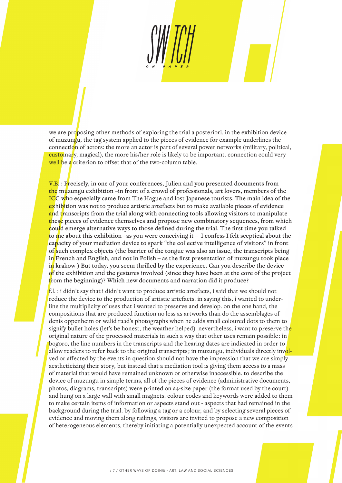we are proposing other methods of exploring the trial a posteriori. in the exhibition device of muzungu, the tag system applied to the pieces of evidence for example underlines the connection of actors: the more an actor is part of several power networks (military, political, customary, magical), the more his/her role is likely to be important. connection could very well be a criterion to offset that of the two-column table.

V.B. : Precisely, in one of your conferences, Julien and you presented documents from the muzungu exhibition –in front of a crowd of professionals, art lovers, members of the ICC who especially came from The Hague and lost Japanese tourists. The main idea of the exhibition was not to produce artistic artefacts but to make available pieces of evidence and transcripts from the trial along with connecting tools allowing visitors to manipulate these pieces of evidence themselves and propose new combinatory sequences, from which could emerge alternative ways to those defined during the trial. The first time you talked to me about this exhibition –as you were conceiving it – I confess I felt sceptical about the capacity of your mediation device to spark "the collective intelligence of visitors" in front of such complex objects (the barrier of the tongue was also an issue, the transcripts being in French and English, and not in Polish – as the first presentation of muzungu took place in krakow ) But today, you seem thrilled by the experience. Can you describe the device of the exhibition and the gestures involved (since they have been at the core of the project from the beginning)? Which new documents and narration did it produce?

 $f.l.$ : i didn't say that i didn't want to produce artistic artefacts, i said that we should not reduce the device to the production of artistic artefacts. in saying this, i wanted to underline the multiplicity of uses that i wanted to preserve and develop. on the one hand, the compositions that are produced function no less as artworks than do the assemblages of denis oppenheim or walid raad's photographs when he adds small coloured dots to them to signify bullet holes (let's be honest, the weather helped). nevertheless, i want to preserve the original nature of the processed materials in such a way that other uses remain possible: in bogoro, the line numbers in the transcripts and the hearing dates are indicated in order to allow readers to refer back to the original transcripts; in muzungu, individuals directly involved or affected by the events in question should not have the impression that we are simply aestheticizing their story, but instead that a mediation tool is giving them access to a mass of material that would have remained unknown or otherwise inaccessible. to describe the device of muzungu in simple terms, all of the pieces of evidence (administrative documents, photos, diagrams, transcripts) were printed on a4-size paper (the format used by the court) and hung on a large wall with small magnets. colour codes and keywords were added to them to make certain items of information or aspects stand out - aspects that had remained in the background during the trial. by following a tag or a colour, and by selecting several pieces of evidence and moving them along railings, visitors are invited to propose a new composition of heterogeneous elements, thereby initiating a potentially unexpected account of the events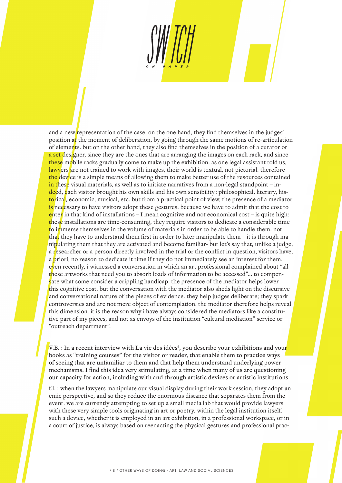and a new representation of the case. on the one hand, they find themselves in the judges' position at the moment of deliberation, by going through the same motions of re-articulation of elements. but on the other hand, they also find themselves in the position of a curator or a set designer, since they are the ones that are arranging the images on each rack, and since these mobile racks gradually come to make up the exhibition. as one legal assistant told us, lawyers are not trained to work with images, their world is textual, not pictorial. therefore the device is a simple means of allowing them to make better use of the resources contained in these visual materials, as well as to initiate narratives from a non-legal standpoint – indeed, each visitor brought his own skills and his own sensibility: philosophical, literary, historical, economic, musical, etc. but from a practical point of view, the presence of a mediator is necessary to have visitors adopt these gestures. because we have to admit that the cost to enter in that kind of installations – I mean cognitive and not economical cost – is quite high: these installations are time-consuming, they require visitors to dedicate a considerable time to immerse themselves in the volume of materials in order to be able to handle them. not that they have to understand them first in order to later manipulate them – it is through manipulating them that they are activated and become familiar- but let's say that, unlike a judge, a researcher or a person directly involved in the trial or the conflict in question, visitors have, a priori, no reason to dedicate it time if they do not immediately see an interest for them. even recently, i witnessed a conversation in which an art professional complained about "all these artworks that need you to absorb loads of information to be accessed"… to compensate what some consider a crippling handicap, the presence of the mediator helps lower this cognitive cost. but the conversation with the mediator also sheds light on the discursive and conversational nature of the pieces of evidence. they help judges deliberate; they spark controversies and are not mere object of contemplation. the mediator therefore helps reveal this dimension. it is the reason why i have always considered the mediators like a constitutive part of my pieces, and not as envoys of the institution "cultural mediation" service or "outreach department".

V.B. : In a recent interview with La vie des idées<sup>6</sup>, you describe your exhibitions and you<mark>r</mark> books as "training courses" for the visitor or reader, that enable them to practice ways of seeing that are unfamiliar to them and that help them understand underlying power mechanisms. I find this idea very stimulating, at a time when many of us are questioning our capacity for action, including with and through artistic devices or artistic institutions.

f.l. : when the lawyers manipulate our visual display during their work session, they adopt an emic perspective, and so they reduce the enormous distance that separates them from the event. we are currently attempting to set up a small media lab that would provide lawyers with these very simple tools originating in art or poetry, within the legal institution itself. such a device, whether it is employed in an art exhibition, in a professional workspace, or in a court of justice, is always based on reenacting the physical gestures and professional prac-